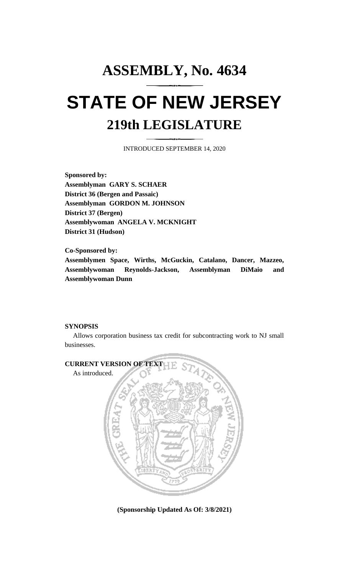## **ASSEMBLY, No. 4634 STATE OF NEW JERSEY 219th LEGISLATURE**

INTRODUCED SEPTEMBER 14, 2020

**Sponsored by: Assemblyman GARY S. SCHAER District 36 (Bergen and Passaic) Assemblyman GORDON M. JOHNSON District 37 (Bergen) Assemblywoman ANGELA V. MCKNIGHT District 31 (Hudson)**

**Co-Sponsored by: Assemblymen Space, Wirths, McGuckin, Catalano, Dancer, Mazzeo, Assemblywoman Reynolds-Jackson, Assemblyman DiMaio and Assemblywoman Dunn**

## **SYNOPSIS**

Allows corporation business tax credit for subcontracting work to NJ small businesses.



**(Sponsorship Updated As Of: 3/8/2021)**